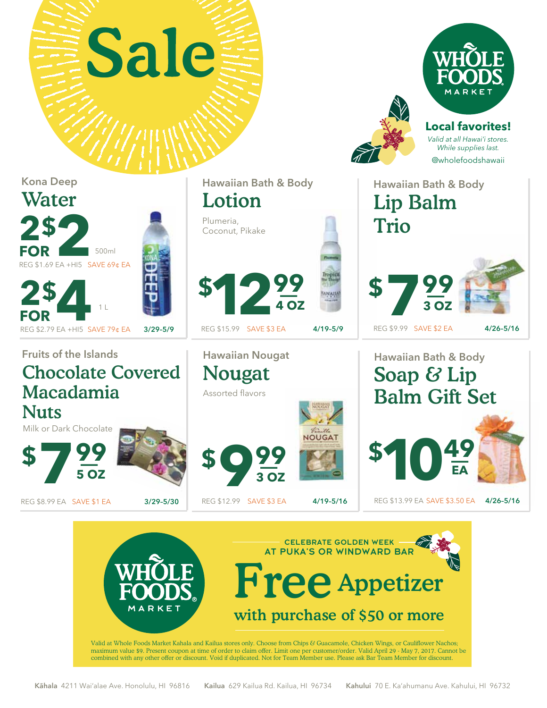





Trio

**Local favorites!** *Valid at all Hawai'i stores. While supplies last.* @wholefoodshawaii

Hawaiian Bath & Body

Lip Balm

REG \$9.99 SAVE \$2 EA

**3 OZ**

## Kona Deep Water **2 \$ 2**<br>**POR** 500ml<br>REG \$1.69 EA +HI5 SAVE 69¢ EA **500ml FOR FOR**

Fruits of the Islands Hawaiian Nougat Hawaiian Bath & Body Chocolate Covered Soap & Lip Nougat Macadamia Balm Gift Set Assorted flavors **Nuts** Milk or Dark Chocolate **NOUGAT** \$10<sup>49</sup> **\$** \_ **<sup>99</sup> 7 \$** \_ **<sup>99</sup> 9 EA 5 OZ 3 OZ** REG \$8.99 EA SAVE \$1 EA 3/29-5/30 REG \$12.99 SAVE \$3 EA 4/19-5/16 REG \$13.99 EA SAVE \$3.50 EA 4/26-5/16 REG \$12.99 SAVE \$3 EA REG \$13.99 EA SAVE \$3.50 EA



 $$12\frac{99}{402}$ **4 OZ POR**<br>
REG \$2.79 EA +HI5 SAVE 79¢ EA 3/29–5/9 REG \$15.99 SAVE \$3 EA 4/19–5/9 REG \$9.99 SAVE \$2 EA 4/26–5/16 **<sup>99</sup> 7 \$** \_

Hawaiian Bath & Body

Lotion

Plumeria, Coconut, Pikake

REG \$15.99 SAVE \$3 EA

Kāhala 4211 Wai'alae Ave. Honolulu, HI 96816 Kailua 629 Kailua Rd. Kailua, HI 96734 Kahului 70 E. Ka'ahumanu Ave. Kahului, HI 96732